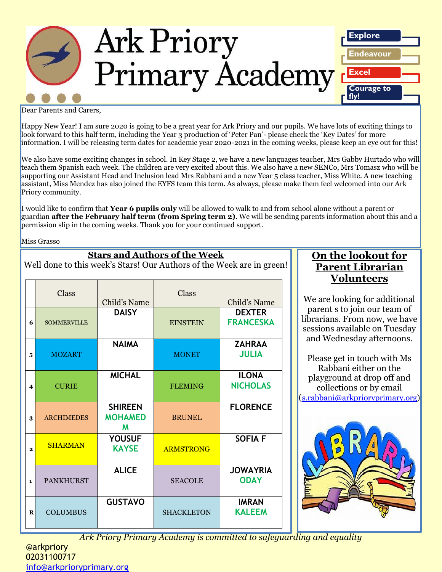

Dear Parents and Carers,

Happy New Year! I am sure 2020 is going to be a great year for Ark Priory and our pupils. We have lots of exciting things to look forward to this half term, including the Year 3 production of 'Peter Pan'- please check the 'Key Dates' for more information. I will be releasing term dates for academic year 2020-2021 in the coming weeks, please keep an eye out for this!

We also have some exciting changes in school. In Key Stage 2, we have a new languages teacher, Mrs Gabby Hurtado who will teach them Spanish each week. The children are very excited about this. We also have a new SENCo, Mrs Tomasz who will be supporting our Assistant Head and Inclusion lead Mrs Rabbani and a new Year 5 class teacher, Miss White. A new teaching assistant, Miss Mendez has also joined the EYFS team this term. As always, please make them feel welcomed into our Ark Priory community.

I would like to confirm that **Year 6 pupils only** will be allowed to walk to and from school alone without a parent or guardian **after the February half term (from Spring term 2)**. We will be sending parents information about this and a permission slip in the coming weeks. Thank you for your continued support.

Miss Grasso

| <b>Stars and Authors of the Week</b><br>Well done to this week's Stars! Our Authors of the Week are in green! |                    |                                       |                   |                                   |  |  |  |
|---------------------------------------------------------------------------------------------------------------|--------------------|---------------------------------------|-------------------|-----------------------------------|--|--|--|
|                                                                                                               | <b>Class</b>       | Child's Name                          | Class             | Child's Name                      |  |  |  |
| 6                                                                                                             | <b>SOMMERVILLE</b> | <b>DAISY</b>                          | <b>EINSTEIN</b>   | <b>DEXTER</b><br><b>FRANCESKA</b> |  |  |  |
| 5                                                                                                             | <b>MOZART</b>      | <b>NAIMA</b>                          | <b>MONET</b>      | <b>ZAHRAA</b><br><b>JULIA</b>     |  |  |  |
| 4                                                                                                             | <b>CURIE</b>       | <b>MICHAL</b>                         | <b>FLEMING</b>    | <b>ILONA</b><br><b>NICHOLAS</b>   |  |  |  |
| 3                                                                                                             | <b>ARCHIMEDES</b>  | <b>SHIREEN</b><br><b>MOHAMED</b><br>M | <b>BRUNEL</b>     | <b>FLORENCE</b>                   |  |  |  |
| $\overline{2}$                                                                                                | <b>SHARMAN</b>     | <b>YOUSUF</b><br><b>KAYSE</b>         | <b>ARMSTRONG</b>  | <b>SOFIA F</b>                    |  |  |  |
| $\mathbf{1}$                                                                                                  | <b>PANKHURST</b>   | <b>ALICE</b>                          | <b>SEACOLE</b>    | <b>JOWAYRIA</b><br><b>ODAY</b>    |  |  |  |
| R                                                                                                             | <b>COLUMBUS</b>    | <b>GUSTAVO</b>                        | <b>SHACKLETON</b> | <b>IMRAN</b><br><b>KALEEM</b>     |  |  |  |

**On the lookout for Parent Librarian Volunteers**

We are looking for additional parent s to join our team of librarians. From now, we have sessions available on Tuesday and Wednesday afternoons.

Please get in touch with Ms Rabbani either on the playground at drop off and collections or by email ([s.rabbani@arkprioryprimary.org\)](mailto:s.rabbani@arkprioryprimary.org)



*Ark Priory Primary Academy is committed to safeguarding and equality*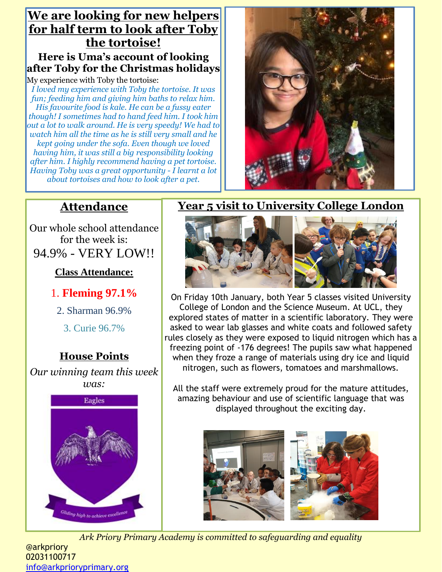### **We are looking for new helpers for half term to look after Toby the tortoise! Here is Uma's account of looking after Toby for the Christmas holidays**

My experience with Toby the tortoise:

*I loved my experience with Toby the tortoise. It was fun; feeding him and giving him baths to relax him. His favourite food is kale. He can be a fussy eater though! I sometimes had to hand feed him. I took him out a lot to walk around. He is very speedy! We had to watch him all the time as he is still very small and he kept going under the sofa. Even though we loved having him, it was still a big responsibility looking after him. I highly recommend having a pet tortoise. Having Toby was a great opportunity - I learnt a lot about tortoises and how to look after a pet.*



### **Attendance**

Our whole school attendance for the week is: 94.9% - VERY LOW!!

**Class Attendance:**

### 1. **Fleming 97.1%**

2. Sharman 96.9%

3. Curie 96.7%

### **House Points**

*Our winning team this week was:*



### **Year 5 visit to University College London**



On Friday 10th January, both Year 5 classes visited University College of London and the Science Museum. At UCL, they explored states of matter in a scientific laboratory. They were asked to wear lab glasses and white coats and followed safety rules closely as they were exposed to liquid nitrogen which has a freezing point of -176 degrees! The pupils saw what happened when they froze a range of materials using dry ice and liquid nitrogen, such as flowers, tomatoes and marshmallows.

All the staff were extremely proud for the mature attitudes, amazing behaviour and use of scientific language that was displayed throughout the exciting day.



*Ark Priory Primary Academy is committed to safeguarding and equality* 

@arkpriory 02031100717 [info@arkprioryprimary.org](mailto:info@arkprioryprimary.org)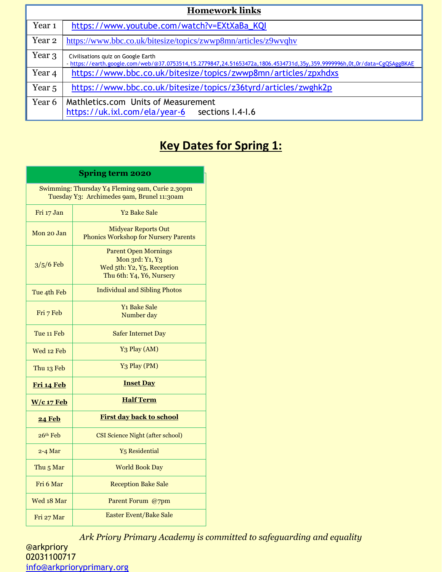| <b>Homework links</b> |                                                                                                                                                              |  |  |  |
|-----------------------|--------------------------------------------------------------------------------------------------------------------------------------------------------------|--|--|--|
| Year <sub>1</sub>     | https://www.youtube.com/watch?v=EXtXaBa_KQI                                                                                                                  |  |  |  |
| Year <sub>2</sub>     | https://www.bbc.co.uk/bitesize/topics/zwwp8mn/articles/z9wvqhv                                                                                               |  |  |  |
| Year 3                | Civilisations quiz on Google Earth<br>https://earth.google.com/web/@37.0753514,15.2779847,24.51653472a,1806.4534731d,35y,359.9999996h,0t,0r/data=CgQSAggBKAE |  |  |  |
| Year 4                | https://www.bbc.co.uk/bitesize/topics/zwwp8mn/articles/zpxhdxs                                                                                               |  |  |  |
| Year <sub>5</sub>     | https://www.bbc.co.uk/bitesize/topics/z36tyrd/articles/zwghk2p                                                                                               |  |  |  |
| Year 6                | Mathletics.com Units of Measurement<br>https://uk.ixl.com/ela/year-6 sections I.4-I.6                                                                        |  |  |  |

## **Key Dates for Spring 1:**

| <b>Spring term 2020</b>                                                                       |                                                                                                          |  |  |  |  |
|-----------------------------------------------------------------------------------------------|----------------------------------------------------------------------------------------------------------|--|--|--|--|
| Swimming: Thursday Y4 Fleming 9am, Curie 2.30pm<br>Tuesday Y3: Archimedes 9am, Brunel 11:30am |                                                                                                          |  |  |  |  |
| Fri 17 Jan                                                                                    | <b>Y<sub>2</sub></b> Bake Sale                                                                           |  |  |  |  |
| Mon 20 Jan                                                                                    | <b>Midyear Reports Out</b><br><b>Phonics Workshop for Nursery Parents</b>                                |  |  |  |  |
| $3/5/6$ Feb                                                                                   | <b>Parent Open Mornings</b><br>Mon 3rd: Y1, Y3<br>Wed 5th: Y2, Y5, Reception<br>Thu 6th: Y4, Y6, Nursery |  |  |  |  |
| Tue 4th Feb                                                                                   | <b>Individual and Sibling Photos</b>                                                                     |  |  |  |  |
| Fri 7 Feb                                                                                     | <b>Y<sub>1</sub></b> Bake Sale<br>Number day                                                             |  |  |  |  |
| Tue 11 Feb                                                                                    | <b>Safer Internet Day</b>                                                                                |  |  |  |  |
| Wed 12 Feb                                                                                    | Y <sub>3</sub> Play (AM)                                                                                 |  |  |  |  |
| Thu 13 Feb                                                                                    | Y <sub>3</sub> Play (PM)                                                                                 |  |  |  |  |
| Fri 14 Feb                                                                                    | <b>Inset Day</b>                                                                                         |  |  |  |  |
| $W/c$ 17 Feb                                                                                  | <b>Half Term</b>                                                                                         |  |  |  |  |
| <b>24 Feb</b>                                                                                 | <b>First day back to school</b>                                                                          |  |  |  |  |
| $26th$ Feb                                                                                    | <b>CSI Science Night (after school)</b>                                                                  |  |  |  |  |
| $2-4$ Mar                                                                                     | <b>Y<sub>5</sub></b> Residential                                                                         |  |  |  |  |
| Thu <sub>5</sub> Mar                                                                          | <b>World Book Day</b>                                                                                    |  |  |  |  |
| Fri 6 Mar                                                                                     | <b>Reception Bake Sale</b>                                                                               |  |  |  |  |
| Wed 18 Mar                                                                                    | Parent Forum @7pm                                                                                        |  |  |  |  |
| Fri 27 Mar                                                                                    | <b>Easter Event/Bake Sale</b>                                                                            |  |  |  |  |

*Ark Priory Primary Academy is committed to safeguarding and equality*  @arkpriory 02031100717 [info@arkprioryprimary.org](mailto:info@arkprioryprimary.org)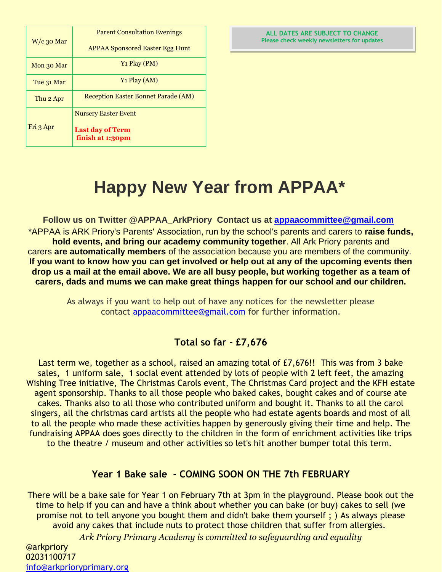| $W/c$ 30 Mar | <b>Parent Consultation Evenings</b>         |  |
|--------------|---------------------------------------------|--|
|              | <b>APPAA Sponsored Easter Egg Hunt</b>      |  |
| Mon 30 Mar   | $Y_1$ Play (PM)                             |  |
| Tue 31 Mar   | $Y_1$ Play (AM)                             |  |
| Thu 2 Apr    | <b>Reception Easter Bonnet Parade (AM)</b>  |  |
|              | <b>Nursery Easter Event</b>                 |  |
| Fri 3 Apr    | <b>Last day of Term</b><br>finish at 1:30pm |  |

#### **ALL DATES ARE SUBJECT TO CHANGE Please check weekly newsletters for updates**

# **Happy New Year from APPAA\***

**Follow us on Twitter @APPAA\_ArkPriory Contact us at [appaacommittee@gmail.com](mailto:appaacommittee@gmail.com)** \*APPAA is ARK Priory's Parents' Association, run by the school's parents and carers to **raise funds, hold events, and bring our academy community together**. All Ark Priory parents and carers **are automatically members** of the association because you are members of the community. **If you want to know how you can get involved or help out at any of the upcoming events then drop us a mail at the email above. We are all busy people, but working together as a team of carers, dads and mums we can make great things happen for our school and our children.**

As always if you want to help out of have any notices for the newsletter please contact [appaacommittee@gmail.com](mailto:appaacommittee@gmail.com) for further information.

### **Total so far - £7,676**

Last term we, together as a school, raised an amazing total of £7,676!! This was from 3 bake sales, 1 uniform sale, 1 social event attended by lots of people with 2 left feet, the amazing Wishing Tree initiative, The Christmas Carols event, The Christmas Card project and the KFH estate agent sponsorship. Thanks to all those people who baked cakes, bought cakes and of course ate cakes. Thanks also to all those who contributed uniform and bought it. Thanks to all the carol singers, all the christmas card artists all the people who had estate agents boards and most of all to all the people who made these activities happen by generously giving their time and help. The fundraising APPAA does goes directly to the children in the form of enrichment activities like trips to the theatre / museum and other activities so let's hit another bumper total this term.

### **Year 1 Bake sale - COMING SOON ON THE 7th FEBRUARY**

*Ark Priory Primary Academy is committed to safeguarding and equality*  @arkpriory There will be a bake sale for Year 1 on February 7th at 3pm in the playground. Please book out the time to help if you can and have a think about whether you can bake (or buy) cakes to sell (we promise not to tell anyone you bought them and didn't bake them yourself ; ) As always please avoid any cakes that include nuts to protect those children that suffer from allergies.

02031100717 [info@arkprioryprimary.org](mailto:info@arkprioryprimary.org)